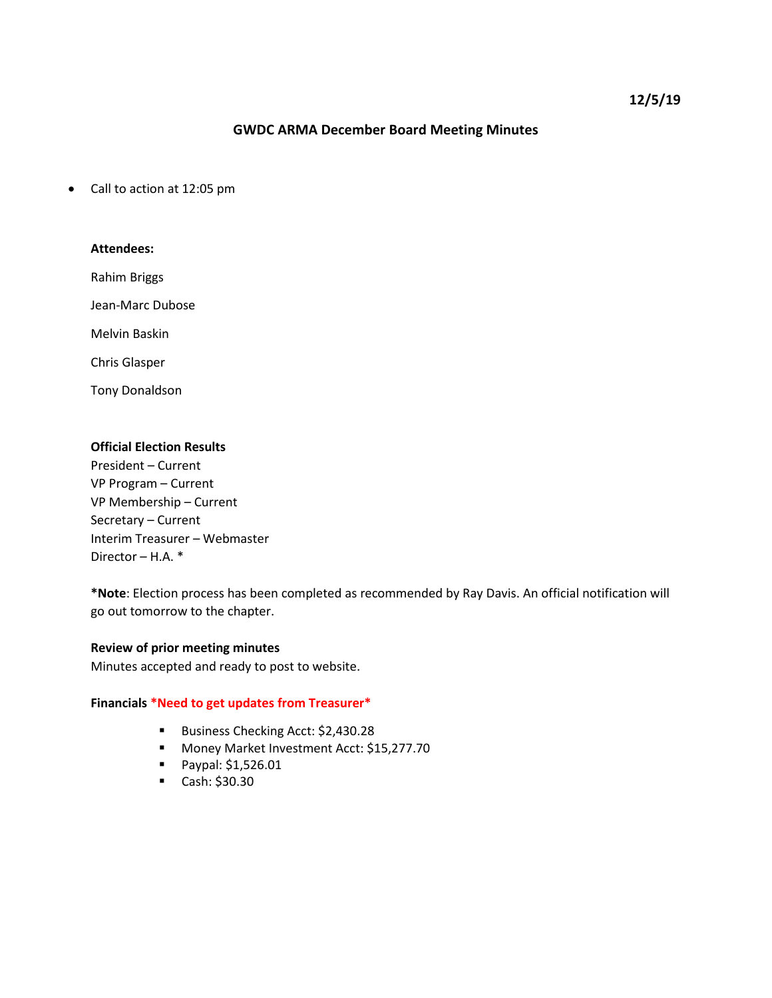# **GWDC ARMA December Board Meeting Minutes**

• Call to action at 12:05 pm

## **Attendees:**

Rahim Briggs

Jean-Marc Dubose

Melvin Baskin

Chris Glasper

Tony Donaldson

# **Official Election Results**

President – Current VP Program – Current VP Membership – Current Secretary – Current Interim Treasurer – Webmaster Director – H.A. \*

**\*Note**: Election process has been completed as recommended by Ray Davis. An official notification will go out tomorrow to the chapter.

#### **Review of prior meeting minutes**

Minutes accepted and ready to post to website.

#### **Financials \*Need to get updates from Treasurer\***

- Business Checking Acct: \$2,430.28
- **Money Market Investment Acct: \$15,277.70**
- Paypal: \$1,526.01
- $\blacksquare$  Cash: \$30.30